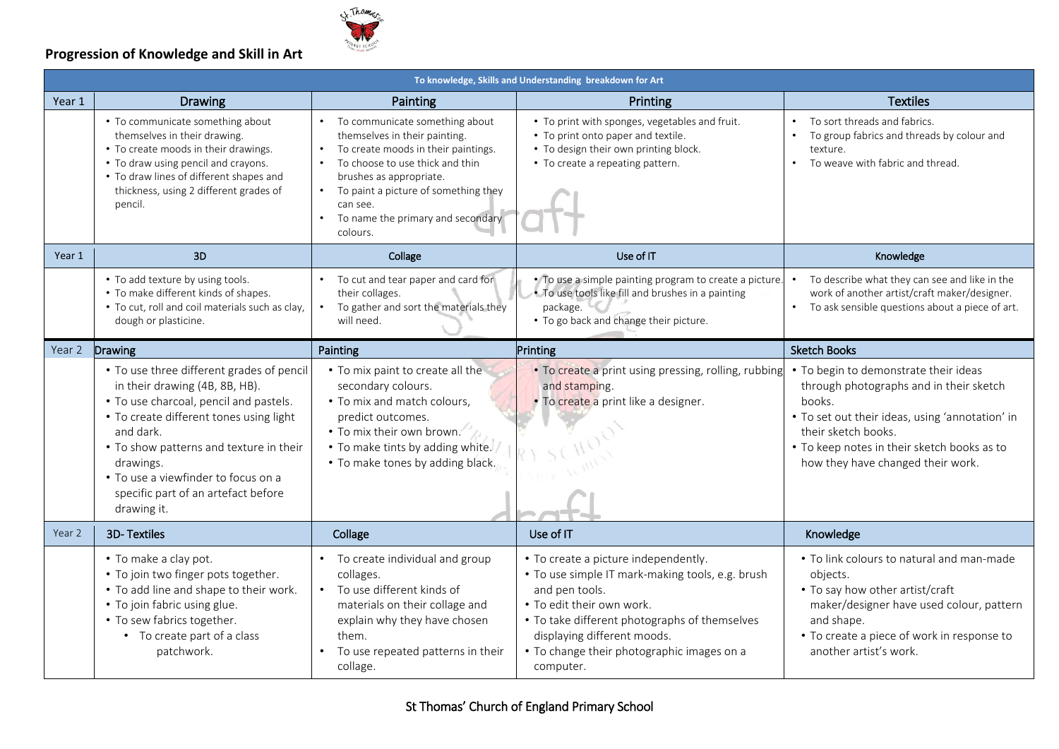

### **Progression of Knowledge and Skill in Art**

|        | To knowledge, Skills and Understanding breakdown for Art                                                                                                                                                                                                                                                                           |                                                                                                                                                                                                                                                                               |                                                                                                                                                                                                                                                                                    |                                                                                                                                                                                                                                                          |  |  |  |  |
|--------|------------------------------------------------------------------------------------------------------------------------------------------------------------------------------------------------------------------------------------------------------------------------------------------------------------------------------------|-------------------------------------------------------------------------------------------------------------------------------------------------------------------------------------------------------------------------------------------------------------------------------|------------------------------------------------------------------------------------------------------------------------------------------------------------------------------------------------------------------------------------------------------------------------------------|----------------------------------------------------------------------------------------------------------------------------------------------------------------------------------------------------------------------------------------------------------|--|--|--|--|
| Year 1 | <b>Drawing</b>                                                                                                                                                                                                                                                                                                                     | Painting                                                                                                                                                                                                                                                                      | Printing                                                                                                                                                                                                                                                                           | <b>Textiles</b>                                                                                                                                                                                                                                          |  |  |  |  |
|        | • To communicate something about<br>themselves in their drawing.<br>• To create moods in their drawings.<br>• To draw using pencil and crayons.<br>• To draw lines of different shapes and<br>thickness, using 2 different grades of<br>pencil.                                                                                    | • To communicate something about<br>themselves in their painting.<br>To create moods in their paintings.<br>To choose to use thick and thin<br>brushes as appropriate.<br>• To paint a picture of something they<br>can see.<br>To name the primary and secondary<br>colours. | • To print with sponges, vegetables and fruit.<br>• To print onto paper and textile.<br>• To design their own printing block.<br>• To create a repeating pattern.                                                                                                                  | To sort threads and fabrics.<br>To group fabrics and threads by colour and<br>texture.<br>To weave with fabric and thread.<br>$\bullet$                                                                                                                  |  |  |  |  |
| Year 1 | 3D                                                                                                                                                                                                                                                                                                                                 | Collage                                                                                                                                                                                                                                                                       | Use of IT                                                                                                                                                                                                                                                                          | Knowledge                                                                                                                                                                                                                                                |  |  |  |  |
|        | • To add texture by using tools.<br>• To make different kinds of shapes.<br>• To cut, roll and coil materials such as clay,<br>dough or plasticine.                                                                                                                                                                                | • To cut and tear paper and card for<br>their collages.<br>To gather and sort the materials they<br>$\bullet$<br>will need.                                                                                                                                                   | . To use a simple painting program to create a picture.<br>. To use tools like fill and brushes in a painting<br>package.<br>• To go back and change their picture.                                                                                                                | To describe what they can see and like in the<br>work of another artist/craft maker/designer.<br>To ask sensible questions about a piece of art.                                                                                                         |  |  |  |  |
| Year 2 | Drawing                                                                                                                                                                                                                                                                                                                            | Painting                                                                                                                                                                                                                                                                      | Printing                                                                                                                                                                                                                                                                           | <b>Sketch Books</b>                                                                                                                                                                                                                                      |  |  |  |  |
|        | • To use three different grades of pencil<br>in their drawing (4B, 8B, HB).<br>• To use charcoal, pencil and pastels.<br>• To create different tones using light<br>and dark.<br>• To show patterns and texture in their<br>drawings.<br>• To use a viewfinder to focus on a<br>specific part of an artefact before<br>drawing it. | • To mix paint to create all the<br>secondary colours.<br>• To mix and match colours,<br>predict outcomes.<br>• To mix their own brown.<br>. To make tints by adding white.<br>• To make tones by adding black.                                                               | . To create a print using pressing, rolling, rubbing<br>and stamping.<br>· To create a print like a designer.                                                                                                                                                                      | • To begin to demonstrate their ideas<br>through photographs and in their sketch<br>books.<br>• To set out their ideas, using 'annotation' in<br>their sketch books.<br>• To keep notes in their sketch books as to<br>how they have changed their work. |  |  |  |  |
| Year 2 | <b>3D-Textiles</b>                                                                                                                                                                                                                                                                                                                 | Collage                                                                                                                                                                                                                                                                       | Use of IT                                                                                                                                                                                                                                                                          | Knowledge                                                                                                                                                                                                                                                |  |  |  |  |
|        | • To make a clay pot.<br>• To join two finger pots together.<br>• To add line and shape to their work.<br>• To join fabric using glue.<br>• To sew fabrics together.<br>• To create part of a class<br>patchwork.                                                                                                                  | • To create individual and group<br>collages.<br>• To use different kinds of<br>materials on their collage and<br>explain why they have chosen<br>them.<br>To use repeated patterns in their<br>collage.                                                                      | • To create a picture independently.<br>• To use simple IT mark-making tools, e.g. brush<br>and pen tools.<br>• To edit their own work.<br>• To take different photographs of themselves<br>displaying different moods.<br>• To change their photographic images on a<br>computer. | • To link colours to natural and man-made<br>objects.<br>• To say how other artist/craft<br>maker/designer have used colour, pattern<br>and shape.<br>• To create a piece of work in response to<br>another artist's work.                               |  |  |  |  |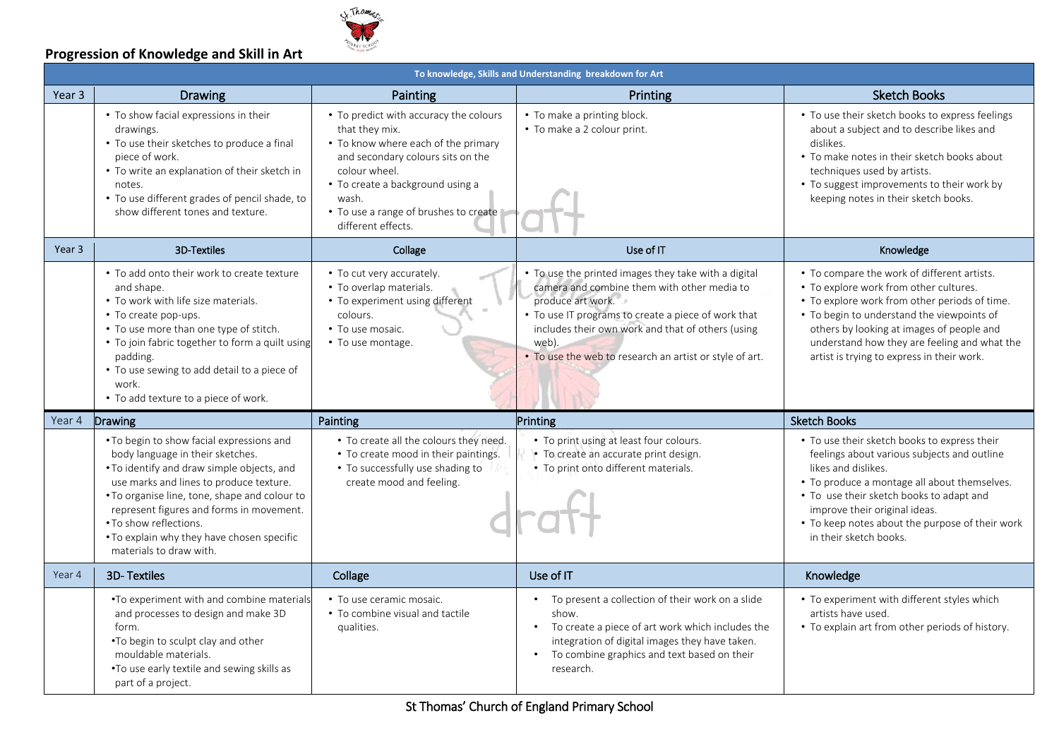

#### **Progression of Knowledge and Skill in Art**

|                   | To knowledge, Skills and Understanding breakdown for Art                                                                                                                                                                                                                                                                                                               |                                                                                                                                                                                                                                                                   |                                                                                                                                                                                                                                                                                                          |                                                                                                                                                                                                                                                                                                                                 |  |  |  |  |
|-------------------|------------------------------------------------------------------------------------------------------------------------------------------------------------------------------------------------------------------------------------------------------------------------------------------------------------------------------------------------------------------------|-------------------------------------------------------------------------------------------------------------------------------------------------------------------------------------------------------------------------------------------------------------------|----------------------------------------------------------------------------------------------------------------------------------------------------------------------------------------------------------------------------------------------------------------------------------------------------------|---------------------------------------------------------------------------------------------------------------------------------------------------------------------------------------------------------------------------------------------------------------------------------------------------------------------------------|--|--|--|--|
| Year <sub>3</sub> | <b>Drawing</b>                                                                                                                                                                                                                                                                                                                                                         | Painting                                                                                                                                                                                                                                                          | Printing                                                                                                                                                                                                                                                                                                 | <b>Sketch Books</b>                                                                                                                                                                                                                                                                                                             |  |  |  |  |
|                   | • To show facial expressions in their<br>drawings.<br>• To use their sketches to produce a final<br>piece of work.<br>• To write an explanation of their sketch in<br>notes.<br>• To use different grades of pencil shade, to<br>show different tones and texture.                                                                                                     | • To predict with accuracy the colours<br>that they mix.<br>• To know where each of the primary<br>and secondary colours sits on the<br>colour wheel.<br>• To create a background using a<br>wash.<br>• To use a range of brushes to create<br>different effects. | • To make a printing block.<br>• To make a 2 colour print.                                                                                                                                                                                                                                               | • To use their sketch books to express feelings<br>about a subject and to describe likes and<br>dislikes.<br>• To make notes in their sketch books about<br>techniques used by artists.<br>• To suggest improvements to their work by<br>keeping notes in their sketch books.                                                   |  |  |  |  |
| Year <sub>3</sub> | <b>3D-Textiles</b>                                                                                                                                                                                                                                                                                                                                                     | Collage                                                                                                                                                                                                                                                           | Use of IT                                                                                                                                                                                                                                                                                                | Knowledge                                                                                                                                                                                                                                                                                                                       |  |  |  |  |
|                   | • To add onto their work to create texture<br>and shape.<br>• To work with life size materials.<br>• To create pop-ups.<br>• To use more than one type of stitch.<br>• To join fabric together to form a quilt using<br>padding.<br>• To use sewing to add detail to a piece of<br>work.<br>• To add texture to a piece of work.                                       | • To cut very accurately.<br>• To overlap materials.<br>• To experiment using different<br>colours.<br>• To use mosaic.<br>• To use montage.                                                                                                                      | • To use the printed images they take with a digital<br>camera and combine them with other media to<br>produce art work.<br>• To use IT programs to create a piece of work that<br>includes their own work and that of others (using<br>web).<br>. To use the web to research an artist or style of art. | • To compare the work of different artists.<br>• To explore work from other cultures.<br>• To explore work from other periods of time.<br>• To begin to understand the viewpoints of<br>others by looking at images of people and<br>understand how they are feeling and what the<br>artist is trying to express in their work. |  |  |  |  |
| Year 4            | Drawing                                                                                                                                                                                                                                                                                                                                                                | Painting                                                                                                                                                                                                                                                          | Printing                                                                                                                                                                                                                                                                                                 | <b>Sketch Books</b>                                                                                                                                                                                                                                                                                                             |  |  |  |  |
|                   | . To begin to show facial expressions and<br>body language in their sketches.<br>. To identify and draw simple objects, and<br>use marks and lines to produce texture.<br>. To organise line, tone, shape and colour to<br>represent figures and forms in movement.<br>• To show reflections.<br>. To explain why they have chosen specific<br>materials to draw with. | • To create all the colours they need.<br>• To create mood in their paintings.<br>• To successfully use shading to<br>create mood and feeling.                                                                                                                    | • To print using at least four colours.<br>• To create an accurate print design.<br>• To print onto different materials.                                                                                                                                                                                 | • To use their sketch books to express their<br>feelings about various subjects and outline<br>likes and dislikes.<br>• To produce a montage all about themselves.<br>• To use their sketch books to adapt and<br>improve their original ideas.<br>• To keep notes about the purpose of their work<br>in their sketch books.    |  |  |  |  |
| Year 4            | <b>3D-Textiles</b>                                                                                                                                                                                                                                                                                                                                                     | Collage                                                                                                                                                                                                                                                           | Use of IT                                                                                                                                                                                                                                                                                                | Knowledge                                                                                                                                                                                                                                                                                                                       |  |  |  |  |
|                   | .To experiment with and combine materials<br>and processes to design and make 3D<br>form.<br>. To begin to sculpt clay and other<br>mouldable materials.<br>.To use early textile and sewing skills as<br>part of a project.                                                                                                                                           | • To use ceramic mosaic.<br>• To combine visual and tactile<br>qualities.                                                                                                                                                                                         | • To present a collection of their work on a slide<br>show.<br>To create a piece of art work which includes the<br>$\bullet$<br>integration of digital images they have taken.<br>To combine graphics and text based on their<br>$\bullet$<br>research.                                                  | • To experiment with different styles which<br>artists have used.<br>• To explain art from other periods of history.                                                                                                                                                                                                            |  |  |  |  |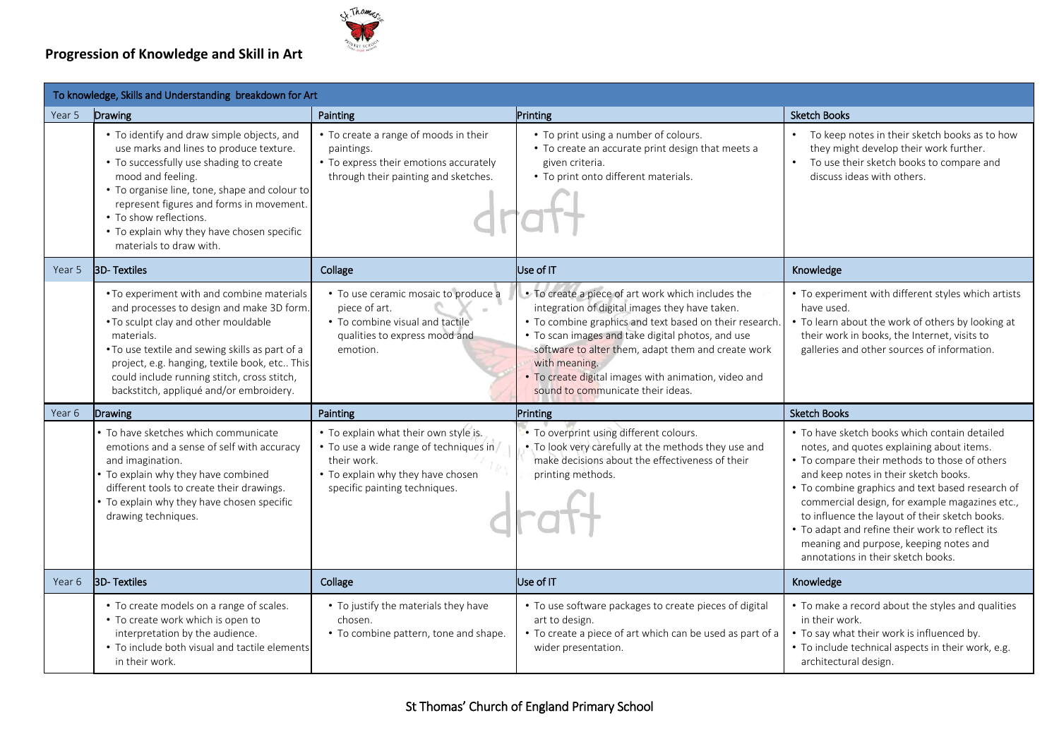#### **Progression of Knowledge and Skill in Art**

To knowledge, Skills and Understanding breakdown for Art



| Year 5 | Drawing                                                                                                                                                                                                                                                                                                                                               | Painting                                                                                                                                                             | Printing                                                                                                                                                                                                                                                                                                                                                                                 | <b>Sketch Books</b>                                                                                                                                                                                                                                                                                                                                                                                                                                                             |
|--------|-------------------------------------------------------------------------------------------------------------------------------------------------------------------------------------------------------------------------------------------------------------------------------------------------------------------------------------------------------|----------------------------------------------------------------------------------------------------------------------------------------------------------------------|------------------------------------------------------------------------------------------------------------------------------------------------------------------------------------------------------------------------------------------------------------------------------------------------------------------------------------------------------------------------------------------|---------------------------------------------------------------------------------------------------------------------------------------------------------------------------------------------------------------------------------------------------------------------------------------------------------------------------------------------------------------------------------------------------------------------------------------------------------------------------------|
|        | • To identify and draw simple objects, and<br>use marks and lines to produce texture.<br>• To successfully use shading to create<br>mood and feeling.<br>• To organise line, tone, shape and colour to<br>represent figures and forms in movement.<br>• To show reflections.<br>• To explain why they have chosen specific<br>materials to draw with. | • To create a range of moods in their<br>paintings.<br>• To express their emotions accurately<br>through their painting and sketches.                                | • To print using a number of colours.<br>• To create an accurate print design that meets a<br>given criteria.<br>• To print onto different materials.                                                                                                                                                                                                                                    | • To keep notes in their sketch books as to how<br>they might develop their work further.<br>To use their sketch books to compare and<br>discuss ideas with others.                                                                                                                                                                                                                                                                                                             |
| Year 5 | <b>3D-Textiles</b>                                                                                                                                                                                                                                                                                                                                    | Collage                                                                                                                                                              | Use of IT                                                                                                                                                                                                                                                                                                                                                                                | Knowledge                                                                                                                                                                                                                                                                                                                                                                                                                                                                       |
|        | • To experiment with and combine materials<br>and processes to design and make 3D form.<br>• To sculpt clay and other mouldable<br>materials.<br>. To use textile and sewing skills as part of a<br>project, e.g. hanging, textile book, etc This<br>could include running stitch, cross stitch,<br>backstitch, appliqué and/or embroidery.           | • To use ceramic mosaic to produce a<br>piece of art.<br>$\alpha$<br>• To combine visual and tactile<br>qualities to express mood and<br>emotion.                    | • To create a piece of art work which includes the<br>integration of digital images they have taken.<br>• To combine graphics and text based on their research.<br>• To scan images and take digital photos, and use<br>software to alter them, adapt them and create work<br>with meaning.<br>. To create digital images with animation, video and<br>sound to communicate their ideas. | • To experiment with different styles which artists<br>have used.<br>• To learn about the work of others by looking at<br>their work in books, the Internet, visits to<br>galleries and other sources of information.                                                                                                                                                                                                                                                           |
| Year 6 | Drawing                                                                                                                                                                                                                                                                                                                                               | Painting                                                                                                                                                             | Printing                                                                                                                                                                                                                                                                                                                                                                                 | <b>Sketch Books</b>                                                                                                                                                                                                                                                                                                                                                                                                                                                             |
|        | To have sketches which communicate<br>emotions and a sense of self with accuracy<br>and imagination.<br>To explain why they have combined<br>different tools to create their drawings.<br>To explain why they have chosen specific<br>drawing techniques.                                                                                             | • To explain what their own style is.<br>• To use a wide range of techniques in<br>their work.<br>• To explain why they have chosen<br>specific painting techniques. | • To overprint using different colours.<br>. To look very carefully at the methods they use and<br>make decisions about the effectiveness of their<br>printing methods.                                                                                                                                                                                                                  | • To have sketch books which contain detailed<br>notes, and quotes explaining about items.<br>• To compare their methods to those of others<br>and keep notes in their sketch books.<br>• To combine graphics and text based research of<br>commercial design, for example magazines etc.,<br>to influence the layout of their sketch books.<br>• To adapt and refine their work to reflect its<br>meaning and purpose, keeping notes and<br>annotations in their sketch books. |
| Year 6 | <b>BD-Textiles</b>                                                                                                                                                                                                                                                                                                                                    | Collage                                                                                                                                                              | Use of IT                                                                                                                                                                                                                                                                                                                                                                                | Knowledge                                                                                                                                                                                                                                                                                                                                                                                                                                                                       |
|        | • To create models on a range of scales.<br>• To create work which is open to<br>interpretation by the audience.<br>• To include both visual and tactile elements<br>in their work.                                                                                                                                                                   | • To justify the materials they have<br>chosen.<br>• To combine pattern, tone and shape.                                                                             | • To use software packages to create pieces of digital<br>art to design.<br>• To create a piece of art which can be used as part of a<br>wider presentation.                                                                                                                                                                                                                             | • To make a record about the styles and qualities<br>in their work.<br>• To say what their work is influenced by.<br>• To include technical aspects in their work, e.g.<br>architectural design.                                                                                                                                                                                                                                                                                |